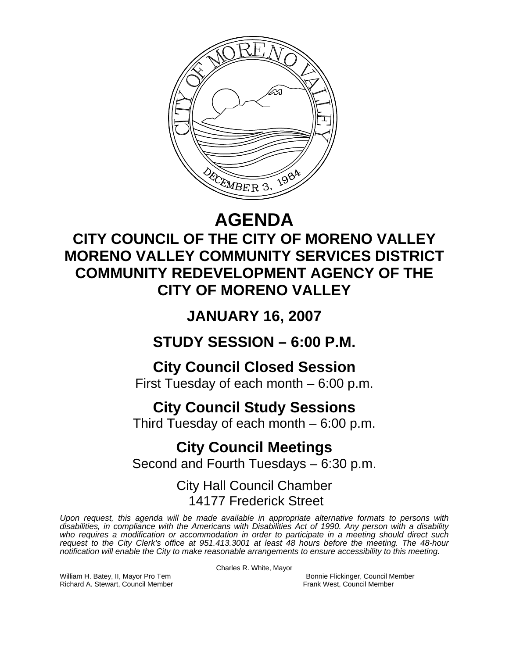

# **AGENDA**

## **CITY COUNCIL OF THE CITY OF MORENO VALLEY MORENO VALLEY COMMUNITY SERVICES DISTRICT COMMUNITY REDEVELOPMENT AGENCY OF THE CITY OF MORENO VALLEY**

**JANUARY 16, 2007** 

**STUDY SESSION – 6:00 P.M.** 

**City Council Closed Session**  First Tuesday of each month – 6:00 p.m.

# **City Council Study Sessions**

Third Tuesday of each month – 6:00 p.m.

**City Council Meetings**  Second and Fourth Tuesdays – 6:30 p.m.

> City Hall Council Chamber 14177 Frederick Street

*Upon request, this agenda will be made available in appropriate alternative formats to persons with disabilities, in compliance with the Americans with Disabilities Act of 1990. Any person with a disability*  who requires a modification or accommodation in order to participate in a meeting should direct such *request to the City Clerk's office at 951.413.3001 at least 48 hours before the meeting. The 48-hour notification will enable the City to make reasonable arrangements to ensure accessibility to this meeting.* 

Charles R. White, Mayor

William H. Batey, II, Mayor Pro Tem Bonnie Flickinger, Council Member<br>Richard A. Stewart, Council Member **Bonnie Flickinger, Council Member** Richard A. Stewart, Council Member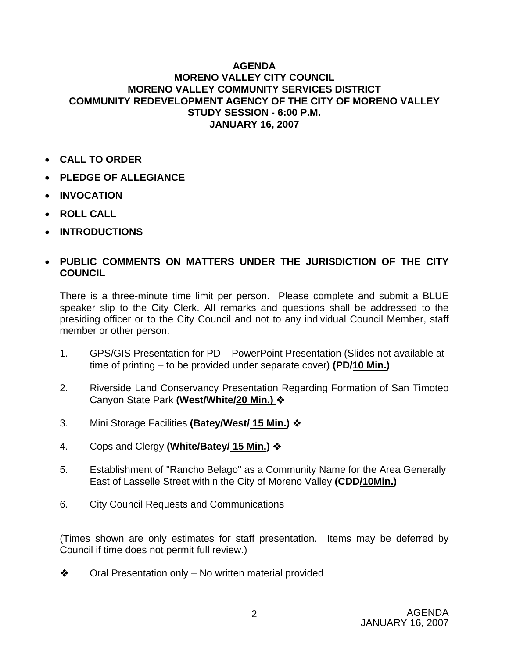#### **AGENDA MORENO VALLEY CITY COUNCIL MORENO VALLEY COMMUNITY SERVICES DISTRICT COMMUNITY REDEVELOPMENT AGENCY OF THE CITY OF MORENO VALLEY STUDY SESSION - 6:00 P.M. JANUARY 16, 2007**

- **CALL TO ORDER**
- **PLEDGE OF ALLEGIANCE**
- **INVOCATION**
- **ROLL CALL**
- **INTRODUCTIONS**

### • **PUBLIC COMMENTS ON MATTERS UNDER THE JURISDICTION OF THE CITY COUNCIL**

There is a three-minute time limit per person. Please complete and submit a BLUE speaker slip to the City Clerk. All remarks and questions shall be addressed to the presiding officer or to the City Council and not to any individual Council Member, staff member or other person.

- 1. GPS/GIS Presentation for PD PowerPoint Presentation (Slides not available at time of printing – to be provided under separate cover) **(PD/10 Min.)**
- 2. Riverside Land Conservancy Presentation Regarding Formation of San Timoteo Canyon State Park **(West/White/20 Min.)**
- 3. Mini Storage Facilities **(Batey/West/ 15 Min.)**
- 4. Cops and Clergy **(White/Batey/ 15 Min.)**
- 5. Establishment of "Rancho Belago" as a Community Name for the Area Generally East of Lasselle Street within the City of Moreno Valley **(CDD/10Min.)**
- 6. City Council Requests and Communications

(Times shown are only estimates for staff presentation. Items may be deferred by Council if time does not permit full review.)

 $\diamond$  Oral Presentation only – No written material provided